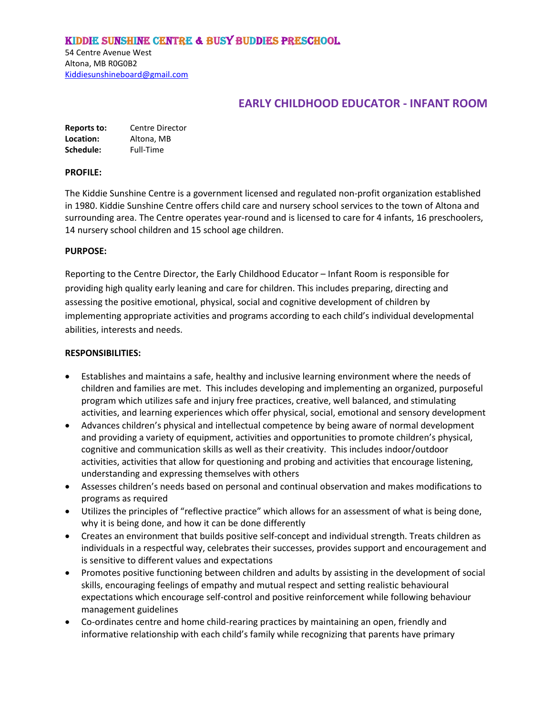### Kiddie Sunshine Centre & Busy Buddies Preschool

54 Centre Avenue West Altona, MB R0G0B2 [Kiddiesunshineboard@gmail.com](mailto:Kiddiesunshineboard@gmail.com)

# **EARLY CHILDHOOD EDUCATOR - INFANT ROOM**

| Reports to: | Centre Director |
|-------------|-----------------|
| Location:   | Altona, MB      |
| Schedule:   | Full-Time       |

#### **PROFILE:**

The Kiddie Sunshine Centre is a government licensed and regulated non-profit organization established in 1980. Kiddie Sunshine Centre offers child care and nursery school services to the town of Altona and surrounding area. The Centre operates year-round and is licensed to care for 4 infants, 16 preschoolers, 14 nursery school children and 15 school age children.

#### **PURPOSE:**

Reporting to the Centre Director, the Early Childhood Educator – Infant Room is responsible for providing high quality early leaning and care for children. This includes preparing, directing and assessing the positive emotional, physical, social and cognitive development of children by implementing appropriate activities and programs according to each child's individual developmental abilities, interests and needs.

#### **RESPONSIBILITIES:**

- Establishes and maintains a safe, healthy and inclusive learning environment where the needs of children and families are met. This includes developing and implementing an organized, purposeful program which utilizes safe and injury free practices, creative, well balanced, and stimulating activities, and learning experiences which offer physical, social, emotional and sensory development
- Advances children's physical and intellectual competence by being aware of normal development and providing a variety of equipment, activities and opportunities to promote children's physical, cognitive and communication skills as well as their creativity. This includes indoor/outdoor activities, activities that allow for questioning and probing and activities that encourage listening, understanding and expressing themselves with others
- Assesses children's needs based on personal and continual observation and makes modifications to programs as required
- Utilizes the principles of "reflective practice" which allows for an assessment of what is being done, why it is being done, and how it can be done differently
- Creates an environment that builds positive self-concept and individual strength. Treats children as individuals in a respectful way, celebrates their successes, provides support and encouragement and is sensitive to different values and expectations
- Promotes positive functioning between children and adults by assisting in the development of social skills, encouraging feelings of empathy and mutual respect and setting realistic behavioural expectations which encourage self-control and positive reinforcement while following behaviour management guidelines
- Co-ordinates centre and home child-rearing practices by maintaining an open, friendly and informative relationship with each child's family while recognizing that parents have primary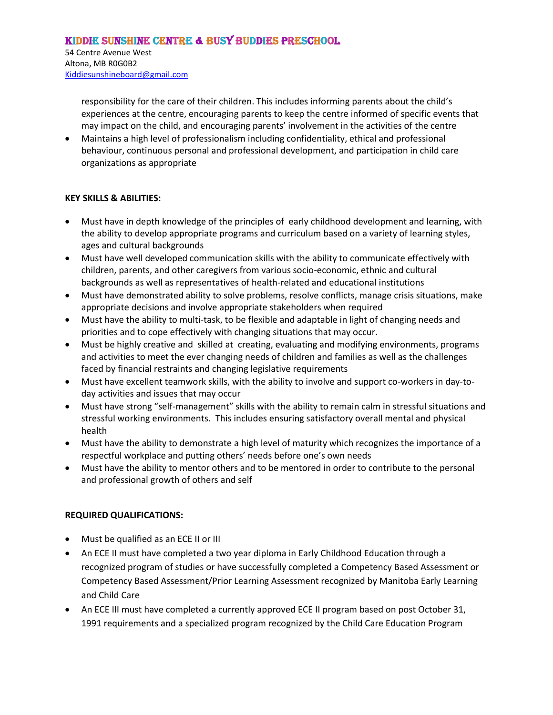54 Centre Avenue West Altona, MB R0G0B2 [Kiddiesunshineboard@gmail.com](mailto:Kiddiesunshineboard@gmail.com)

> responsibility for the care of their children. This includes informing parents about the child's experiences at the centre, encouraging parents to keep the centre informed of specific events that may impact on the child, and encouraging parents' involvement in the activities of the centre

 Maintains a high level of professionalism including confidentiality, ethical and professional behaviour, continuous personal and professional development, and participation in child care organizations as appropriate

### **KEY SKILLS & ABILITIES:**

- Must have in depth knowledge of the principles of early childhood development and learning, with the ability to develop appropriate programs and curriculum based on a variety of learning styles, ages and cultural backgrounds
- Must have well developed communication skills with the ability to communicate effectively with children, parents, and other caregivers from various socio-economic, ethnic and cultural backgrounds as well as representatives of health-related and educational institutions
- Must have demonstrated ability to solve problems, resolve conflicts, manage crisis situations, make appropriate decisions and involve appropriate stakeholders when required
- Must have the ability to multi-task, to be flexible and adaptable in light of changing needs and priorities and to cope effectively with changing situations that may occur.
- Must be highly creative and skilled at creating, evaluating and modifying environments, programs and activities to meet the ever changing needs of children and families as well as the challenges faced by financial restraints and changing legislative requirements
- Must have excellent teamwork skills, with the ability to involve and support co-workers in day-today activities and issues that may occur
- Must have strong "self-management" skills with the ability to remain calm in stressful situations and stressful working environments. This includes ensuring satisfactory overall mental and physical health
- Must have the ability to demonstrate a high level of maturity which recognizes the importance of a respectful workplace and putting others' needs before one's own needs
- Must have the ability to mentor others and to be mentored in order to contribute to the personal and professional growth of others and self

## **REQUIRED QUALIFICATIONS:**

- Must be qualified as an ECE II or III
- An ECE II must have completed a two year diploma in Early Childhood Education through a recognized program of studies or have successfully completed a Competency Based Assessment or Competency Based Assessment/Prior Learning Assessment recognized by Manitoba Early Learning and Child Care
- An ECE III must have completed a currently approved ECE II program based on post October 31, 1991 requirements and a specialized program recognized by the Child Care Education Program